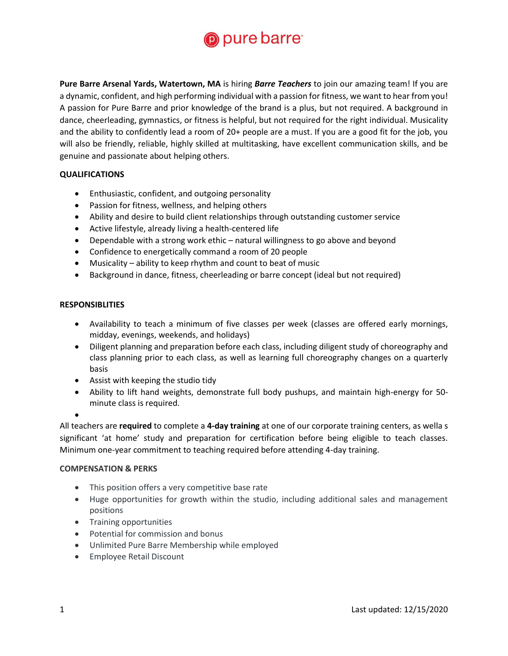

**Pure Barre Arsenal Yards, Watertown, MA** is hiring *Barre Teachers* to join our amazing team! If you are a dynamic, confident, and high performing individual with a passion for fitness, we want to hear from you! A passion for Pure Barre and prior knowledge of the brand is a plus, but not required. A background in dance, cheerleading, gymnastics, or fitness is helpful, but not required for the right individual. Musicality and the ability to confidently lead a room of 20+ people are a must. If you are a good fit for the job, you will also be friendly, reliable, highly skilled at multitasking, have excellent communication skills, and be genuine and passionate about helping others.

## **QUALIFICATIONS**

- Enthusiastic, confident, and outgoing personality
- Passion for fitness, wellness, and helping others
- Ability and desire to build client relationships through outstanding customer service
- Active lifestyle, already living a health-centered life
- Dependable with a strong work ethic natural willingness to go above and beyond
- Confidence to energetically command a room of 20 people
- Musicality ability to keep rhythm and count to beat of music
- Background in dance, fitness, cheerleading or barre concept (ideal but not required)

## **RESPONSIBLITIES**

- Availability to teach a minimum of five classes per week (classes are offered early mornings, midday, evenings, weekends, and holidays)
- Diligent planning and preparation before each class, including diligent study of choreography and class planning prior to each class, as well as learning full choreography changes on a quarterly basis
- Assist with keeping the studio tidy
- Ability to lift hand weights, demonstrate full body pushups, and maintain high-energy for 50 minute class is required.

•

All teachers are **required** to complete a **4-day training** at one of our corporate training centers, as wella s significant 'at home' study and preparation for certification before being eligible to teach classes. Minimum one-year commitment to teaching required before attending 4-day training.

## **COMPENSATION & PERKS**

- This position offers a very competitive base rate
- Huge opportunities for growth within the studio, including additional sales and management positions
- Training opportunities
- Potential for commission and bonus
- Unlimited Pure Barre Membership while employed
- Employee Retail Discount